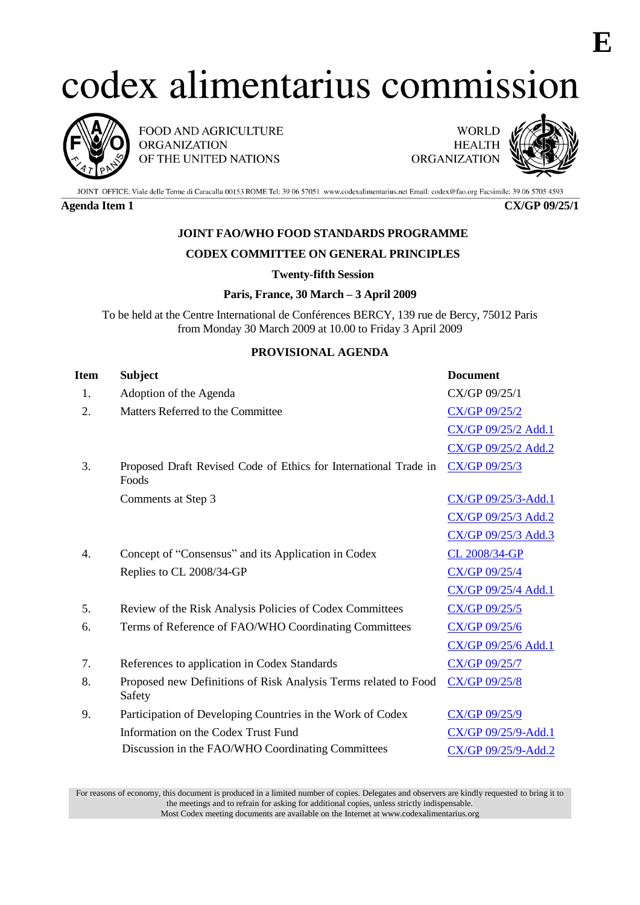# codex alimentarius commission



FOOD AND AGRICULTURE **ORGANIZATION** OF THE UNITED NATIONS

**WORLD HEALTH ORGANIZATION** 



JOINT OFFICE: Viale delle Terme di Caracalla 00153 ROME Tel: 39 06 57051 www.codexalimentarius.net Email: codex@fao.org Facsimile: 39 06 5705 4593

**Agenda Item 1 CX/GP 09/25/1**

## **JOINT FAO/WHO FOOD STANDARDS PROGRAMME**

### **CODEX COMMITTEE ON GENERAL PRINCIPLES**

#### **Twenty-fifth Session**

#### **Paris, France, 30 March – 3 April 2009**

To be held at the Centre International de Conférences BERCY, 139 rue de Bercy, 75012 Paris from Monday 30 March 2009 at 10.00 to Friday 3 April 2009

#### **PROVISIONAL AGENDA**

| Item | <b>Subject</b>                                                            | <b>Document</b>      |
|------|---------------------------------------------------------------------------|----------------------|
| 1.   | Adoption of the Agenda                                                    | CX/GP 09/25/1        |
| 2.   | Matters Referred to the Committee                                         | CX/GP 09/25/2        |
|      |                                                                           | CX/GP 09/25/2 Add.1  |
|      |                                                                           | CX/GP 09/25/2 Add.2  |
| 3.   | Proposed Draft Revised Code of Ethics for International Trade in<br>Foods | <b>CX/GP 09/25/3</b> |
|      | Comments at Step 3                                                        | CX/GP 09/25/3-Add.1  |
|      |                                                                           | CX/GP 09/25/3 Add.2  |
|      |                                                                           | CX/GP 09/25/3 Add.3  |
| 4.   | Concept of "Consensus" and its Application in Codex                       | CL 2008/34-GP        |
|      | Replies to CL 2008/34-GP                                                  | CX/GP 09/25/4        |
|      |                                                                           | CX/GP 09/25/4 Add.1  |
| 5.   | Review of the Risk Analysis Policies of Codex Committees                  | CX/GP 09/25/5        |
| 6.   | Terms of Reference of FAO/WHO Coordinating Committees                     | CX/GP 09/25/6        |
|      |                                                                           | CX/GP 09/25/6 Add.1  |
| 7.   | References to application in Codex Standards                              | CX/GP 09/25/7        |
| 8.   | Proposed new Definitions of Risk Analysis Terms related to Food<br>Safety | CX/GP 09/25/8        |
| 9.   | Participation of Developing Countries in the Work of Codex                | CX/GP 09/25/9        |
|      | Information on the Codex Trust Fund                                       | CX/GP 09/25/9-Add.1  |
|      | Discussion in the FAO/WHO Coordinating Committees                         | CX/GP 09/25/9-Add.2  |
|      |                                                                           |                      |

For reasons of economy, this document is produced in a limited number of copies. Delegates and observers are kindly requested to bring it to the meetings and to refrain for asking for additional copies, unless strictly indispensable. Most Codex meeting documents are available on the Internet at www.codexalimentarius.org